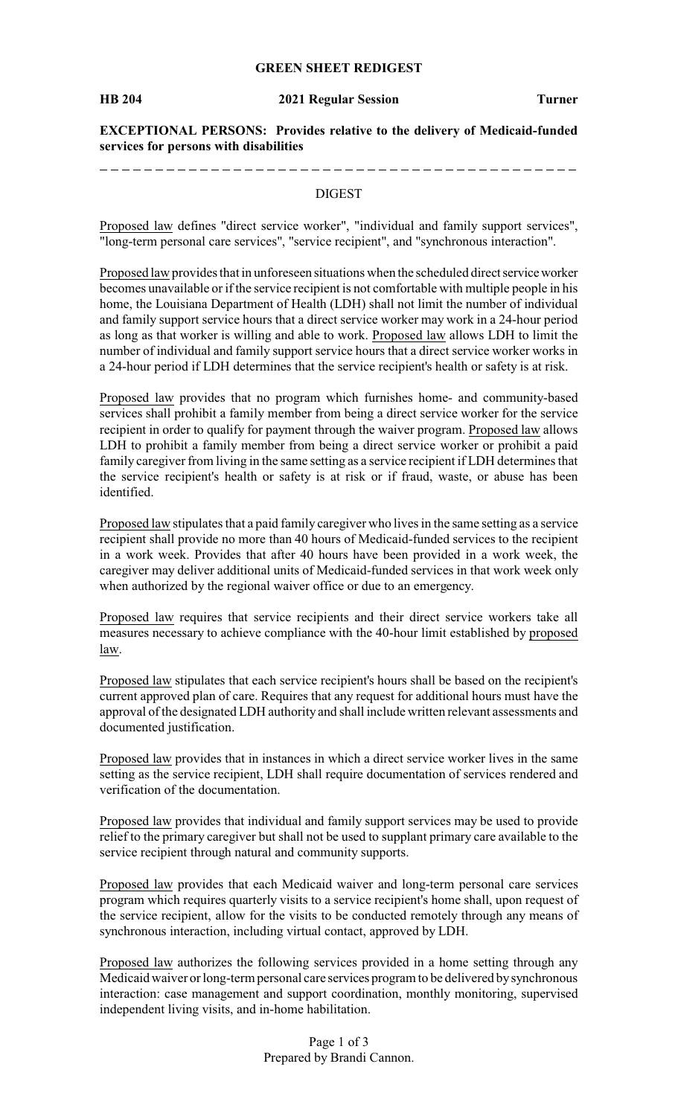## **GREEN SHEET REDIGEST**

----------------

#### **HB 204 2021 Regular Session Turner**

**EXCEPTIONAL PERSONS: Provides relative to the delivery of Medicaid-funded services for persons with disabilities**

### DIGEST

----------------

Proposed law defines "direct service worker", "individual and family support services", "long-term personal care services", "service recipient", and "synchronous interaction".

Proposed law provides that in unforeseen situations when the scheduled direct service worker becomes unavailable or if the service recipient is not comfortable with multiple people in his home, the Louisiana Department of Health (LDH) shall not limit the number of individual and family support service hours that a direct service worker may work in a 24-hour period as long as that worker is willing and able to work. Proposed law allows LDH to limit the number of individual and family support service hours that a direct service worker works in a 24-hour period if LDH determines that the service recipient's health or safety is at risk.

Proposed law provides that no program which furnishes home- and community-based services shall prohibit a family member from being a direct service worker for the service recipient in order to qualify for payment through the waiver program. Proposed law allows LDH to prohibit a family member from being a direct service worker or prohibit a paid family caregiver from living in the same setting as a service recipient if LDH determines that the service recipient's health or safety is at risk or if fraud, waste, or abuse has been identified.

Proposed law stipulates that a paid family caregiver who lives in the same setting as a service recipient shall provide no more than 40 hours of Medicaid-funded services to the recipient in a work week. Provides that after 40 hours have been provided in a work week, the caregiver may deliver additional units of Medicaid-funded services in that work week only when authorized by the regional waiver office or due to an emergency.

Proposed law requires that service recipients and their direct service workers take all measures necessary to achieve compliance with the 40-hour limit established by proposed law.

Proposed law stipulates that each service recipient's hours shall be based on the recipient's current approved plan of care. Requires that any request for additional hours must have the approval of the designated LDH authority and shall include written relevant assessments and documented justification.

Proposed law provides that in instances in which a direct service worker lives in the same setting as the service recipient, LDH shall require documentation of services rendered and verification of the documentation.

Proposed law provides that individual and family support services may be used to provide relief to the primary caregiver but shall not be used to supplant primary care available to the service recipient through natural and community supports.

Proposed law provides that each Medicaid waiver and long-term personal care services program which requires quarterly visits to a service recipient's home shall, upon request of the service recipient, allow for the visits to be conducted remotely through any means of synchronous interaction, including virtual contact, approved by LDH.

Proposed law authorizes the following services provided in a home setting through any Medicaid waiver or long-term personal care services program to be delivered bysynchronous interaction: case management and support coordination, monthly monitoring, supervised independent living visits, and in-home habilitation.

> Page 1 of 3 Prepared by Brandi Cannon.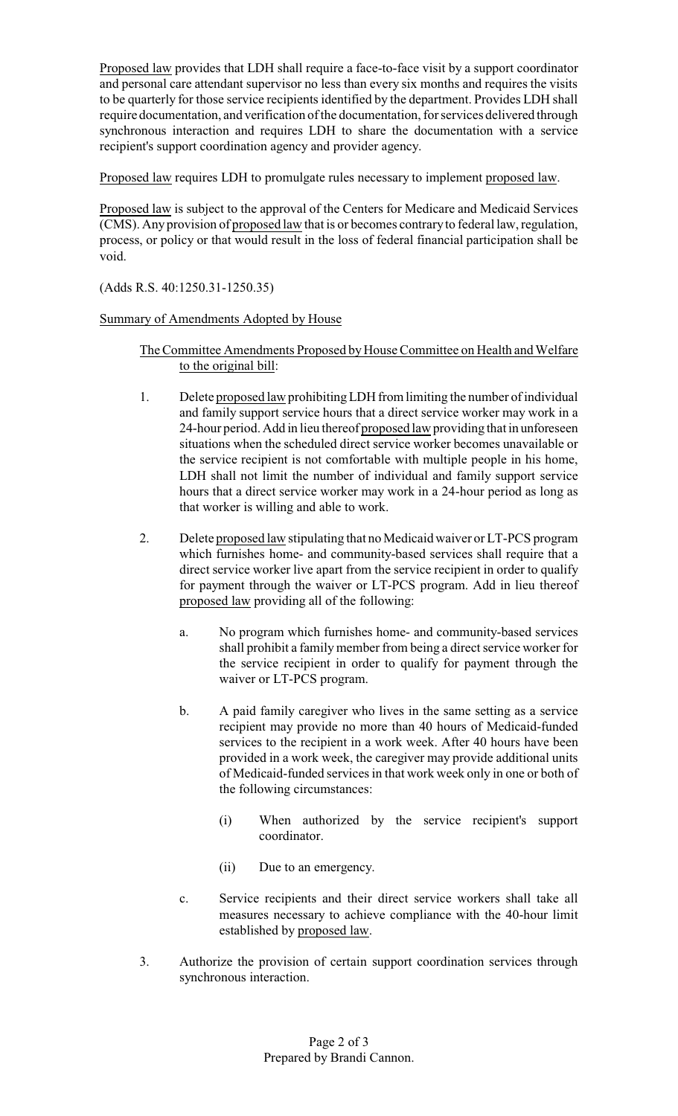Proposed law provides that LDH shall require a face-to-face visit by a support coordinator and personal care attendant supervisor no less than every six months and requires the visits to be quarterly for those service recipients identified by the department. Provides LDH shall require documentation, and verification of the documentation, for services delivered through synchronous interaction and requires LDH to share the documentation with a service recipient's support coordination agency and provider agency.

Proposed law requires LDH to promulgate rules necessary to implement proposed law.

Proposed law is subject to the approval of the Centers for Medicare and Medicaid Services (CMS). Any provision of proposed law that is or becomes contraryto federal law, regulation, process, or policy or that would result in the loss of federal financial participation shall be void.

(Adds R.S. 40:1250.31-1250.35)

## Summary of Amendments Adopted by House

# The Committee Amendments Proposed by House Committee on Health and Welfare to the original bill:

- 1. Delete proposed law prohibitingLDH from limiting the number of individual and family support service hours that a direct service worker may work in a 24-hour period. Add in lieu thereof proposed law providing that in unforeseen situations when the scheduled direct service worker becomes unavailable or the service recipient is not comfortable with multiple people in his home, LDH shall not limit the number of individual and family support service hours that a direct service worker may work in a 24-hour period as long as that worker is willing and able to work.
- 2. Delete proposed law stipulating that no Medicaid waiver or LT-PCS program which furnishes home- and community-based services shall require that a direct service worker live apart from the service recipient in order to qualify for payment through the waiver or LT-PCS program. Add in lieu thereof proposed law providing all of the following:
	- a. No program which furnishes home- and community-based services shall prohibit a family member from being a direct service worker for the service recipient in order to qualify for payment through the waiver or LT-PCS program.
	- b. A paid family caregiver who lives in the same setting as a service recipient may provide no more than 40 hours of Medicaid-funded services to the recipient in a work week. After 40 hours have been provided in a work week, the caregiver may provide additional units of Medicaid-funded services in that work week only in one or both of the following circumstances:
		- (i) When authorized by the service recipient's support coordinator.
		- (ii) Due to an emergency.
	- c. Service recipients and their direct service workers shall take all measures necessary to achieve compliance with the 40-hour limit established by proposed law.
- 3. Authorize the provision of certain support coordination services through synchronous interaction.